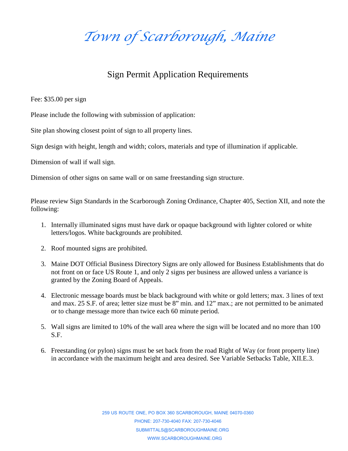*Town of Scarborough, Maine*

## Sign Permit Application Requirements

Fee: \$35.00 per sign

Please include the following with submission of application:

Site plan showing closest point of sign to all property lines.

Sign design with height, length and width; colors, materials and type of illumination if applicable.

Dimension of wall if wall sign.

Dimension of other signs on same wall or on same freestanding sign structure.

Please review Sign Standards in the Scarborough Zoning Ordinance, Chapter 405, Section XII, and note the following:

- 1. Internally illuminated signs must have dark or opaque background with lighter colored or white letters/logos. White backgrounds are prohibited.
- 2. Roof mounted signs are prohibited.
- 3. Maine DOT Official Business Directory Signs are only allowed for Business Establishments that do not front on or face US Route 1, and only 2 signs per business are allowed unless a variance is granted by the Zoning Board of Appeals.
- 4. Electronic message boards must be black background with white or gold letters; max. 3 lines of text and max. 25 S.F. of area; letter size must be 8" min. and 12" max.; are not permitted to be animated or to change message more than twice each 60 minute period.
- 5. Wall signs are limited to 10% of the wall area where the sign will be located and no more than 100 S.F.
- 6. Freestanding (or pylon) signs must be set back from the road Right of Way (or front property line) in accordance with the maximum height and area desired. See Variable Setbacks Table, XII.E.3.

259 US ROUTE ONE, PO BOX 360 SCARBOROUGH, MAINE 04070-0360 PHONE: 207-730-4040 FAX: 207-730-4046 SUBMITTALS@SCARBOROUGHMAINE.ORG WWW.SCARBOROUGHMAINE.ORG